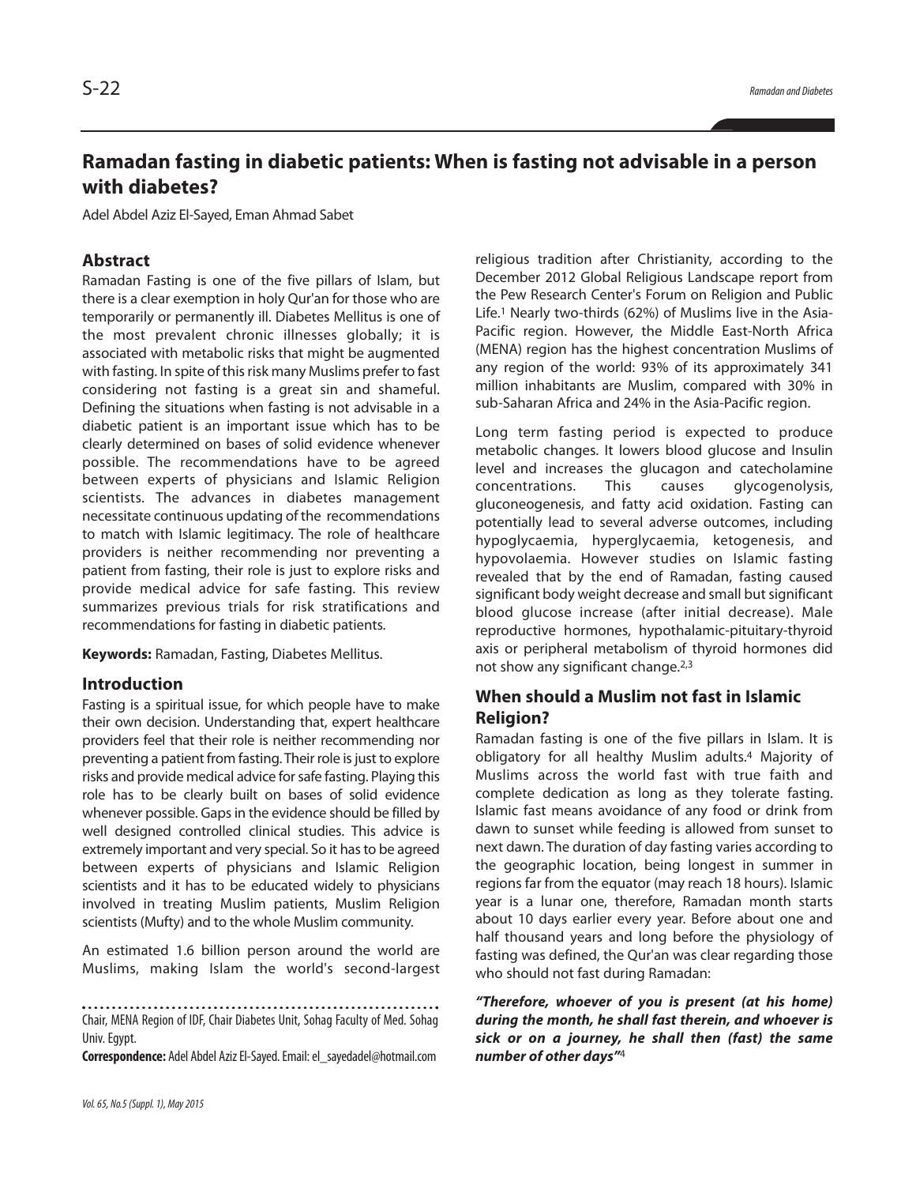# **Ramadan fasting in diabetic patients: When is fasting not advisable in a person with diabetes?**

Adel Abdel Aziz El-Sayed, Eman Ahmad Sabet

## **Abstract**

Ramadan Fasting is one of the five pillars of Islam, but there is a clear exemption in holy Qur'an for those who are temporarily or permanently ill. Diabetes Mellitus is one of the most prevalent chronic illnesses globally; it is associated with metabolic risks that might be augmented with fasting. In spite of this risk many Muslims prefer to fast considering not fasting is a great sin and shameful. Defining the situations when fasting is not advisable in a diabetic patient is an important issue which has to be clearly determined on bases of solid evidence whenever possible. The recommendations have to be agreed between experts of physicians and Islamic Religion scientists. The advances in diabetes management necessitate continuous updating of the recommendations to match with Islamic legitimacy. The role of healthcare providers is neither recommending nor preventing a patient from fasting, their role is just to explore risks and provide medical advice for safe fasting. This review summarizes previous trials for risk stratifications and recommendations for fasting in diabetic patients.

**Keywords:** Ramadan, Fasting, Diabetes Mellitus.

### **Introduction**

Fasting is a spiritual issue, for which people have to make their own decision. Understanding that, expert healthcare providers feel that their role is neither recommending nor preventing a patient from fasting. Their role is just to explore risks and provide medical advice for safe fasting. Playing this role has to be clearly built on bases of solid evidence whenever possible. Gaps in the evidence should be filled by well designed controlled clinical studies. This advice is extremely important and very special. So it has to be agreed between experts of physicians and Islamic Religion scientists and it has to be educated widely to physicians involved in treating Muslim patients, Muslim Religion scientists (Mufty) and to the whole Muslim community.

An estimated 1.6 billion person around the world are Muslims, making Islam the world's second-largest

Chair, MENA Region of IDF, Chair Diabetes Unit, Sohag Faculty of Med. Sohag Univ. Egypt.

**Correspondence:** Adel Abdel AzizEl-Sayed.Email:el\_sayedadel@hotmail.com

religious tradition after Christianity, according to the December 2012 Global Religious Landscape report from the Pew Research Center's Forum on Religion and Public Life. <sup>1</sup> Nearly two-thirds (62%) of Muslims live in the Asia-Pacific region. However, the Middle East-North Africa (MENA) region has the highest concentration Muslims of any region of the world: 93% of its approximately 341 million inhabitants are Muslim, compared with 30% in sub-Saharan Africa and 24% in the Asia-Pacific region.

Long term fasting period is expected to produce metabolic changes. It lowers blood glucose and Insulin level and increases the glucagon and catecholamine concentrations. This causes glycogenolysis, gluconeogenesis, and fatty acid oxidation. Fasting can potentially lead to several adverse outcomes, including hypoglycaemia, hyperglycaemia, ketogenesis, and hypovolaemia. However studies on Islamic fasting revealed that by the end of Ramadan, fasting caused significant body weight decrease and small but significant blood glucose increase (after initial decrease). Male reproductive hormones, hypothalamic-pituitary-thyroid axis or peripheral metabolism of thyroid hormones did not show any significant change. 2,3

## **When should a Muslim not fast in Islamic Religion?**

Ramadan fasting is one of the five pillars in Islam. It is obligatory for all healthy Muslim adults. <sup>4</sup> Majority of Muslims across the world fast with true faith and complete dedication as long as they tolerate fasting. Islamic fast means avoidance of any food or drink from dawn to sunset while feeding is allowed from sunset to next dawn. The duration of day fasting varies according to the geographic location, being longest in summer in regions far from the equator (may reach 18 hours). Islamic year is a lunar one, therefore, Ramadan month starts about 10 days earlier every year. Before about one and half thousand years and long before the physiology of fasting was defined, the Qur'an was clear regarding those who should not fast during Ramadan:

*"Therefore, whoever of you is present (at his home) during the month, he shall fast therein, and whoever is sick or on a journey, he shall then (fast) the same number of other days"*<sup>4</sup>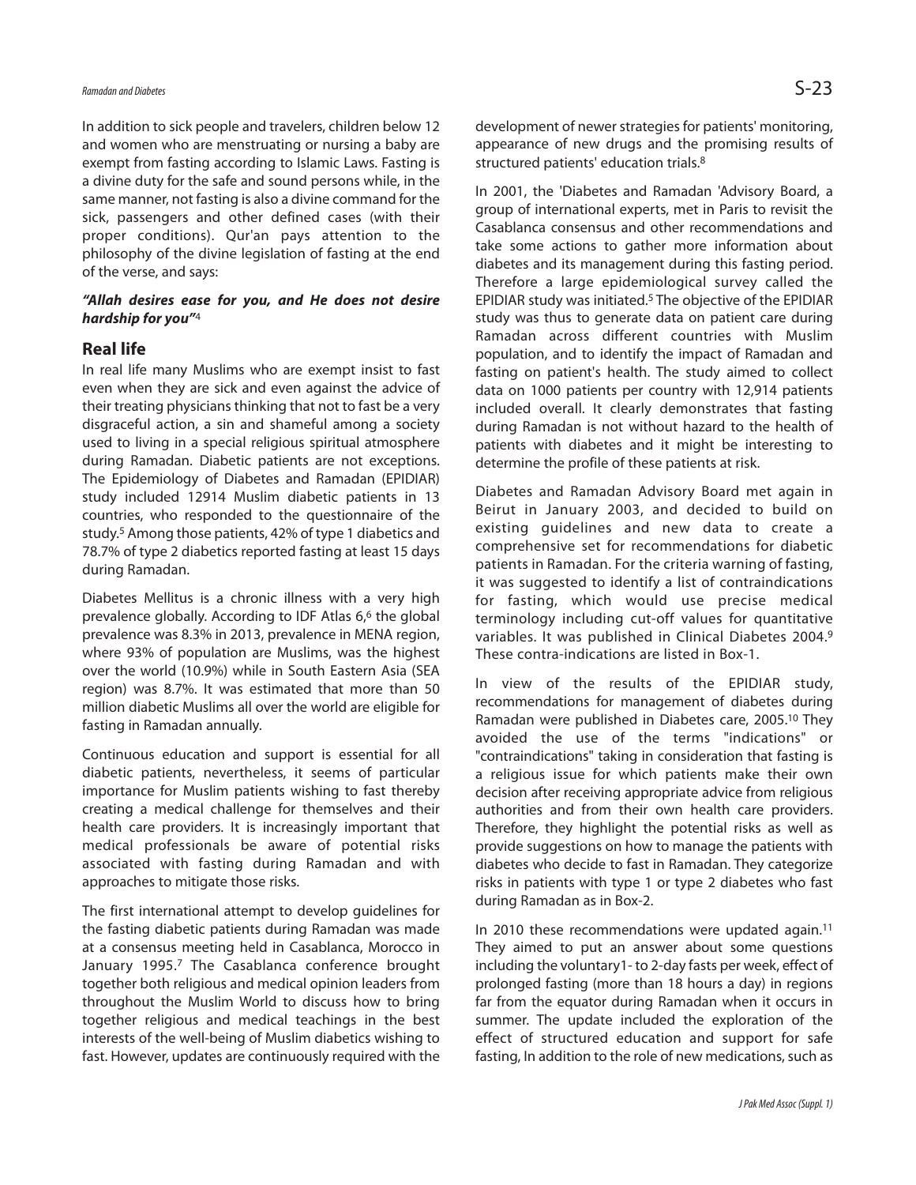## *Ramadanand Diabetes* S-23

In addition to sick people and travelers, children below 12 and women who are menstruating or nursing a baby are exempt from fasting according to Islamic Laws. Fasting is a divine duty for the safe and sound persons while, in the same manner, not fasting is also a divine command for the sick, passengers and other defined cases (with their proper conditions). Qur'an pays attention to the philosophy of the divine legislation of fasting at the end of the verse, and says:

### *"Allah desires ease for you, and He does not desire hardship for you"*<sup>4</sup>

### **Real life**

In real life many Muslims who are exempt insist to fast even when they are sick and even against the advice of their treating physicians thinking that not to fast be a very disgraceful action, a sin and shameful among a society used to living in a special religious spiritual atmosphere during Ramadan. Diabetic patients are not exceptions. The Epidemiology of Diabetes and Ramadan (EPIDIAR) study included 12914 Muslim diabetic patients in 13 countries, who responded to the questionnaire of the study. <sup>5</sup> Among those patients, 42% of type 1 diabetics and 78.7% of type 2 diabetics reported fasting at least 15 days during Ramadan.

Diabetes Mellitus is a chronic illness with a very high prevalence globally. According to IDF Atlas 6, <sup>6</sup> the global prevalence was 8.3% in 2013, prevalence in MENA region, where 93% of population are Muslims, was the highest over the world (10.9%) while in South Eastern Asia (SEA region) was 8.7%. It was estimated that more than 50 million diabetic Muslims all over the world are eligible for fasting in Ramadan annually.

Continuous education and support is essential for all diabetic patients, nevertheless, it seems of particular importance for Muslim patients wishing to fast thereby creating a medical challenge for themselves and their health care providers. It is increasingly important that medical professionals be aware of potential risks associated with fasting during Ramadan and with approaches to mitigate those risks.

The first international attempt to develop guidelines for the fasting diabetic patients during Ramadan was made at a consensus meeting held in Casablanca, Morocco in January 1995.<sup>7</sup> The Casablanca conference brought together both religious and medical opinion leaders from throughout the Muslim World to discuss how to bring together religious and medical teachings in the best interests of the well-being of Muslim diabetics wishing to fast. However, updates are continuously required with the development of newer strategies for patients' monitoring, appearance of new drugs and the promising results of structured patients' education trials.<sup>8</sup>

In 2001, the 'Diabetes and Ramadan 'Advisory Board, a group of international experts, met in Paris to revisit the Casablanca consensus and other recommendations and take some actions to gather more information about diabetes and its management during this fasting period. Therefore a large epidemiological survey called the EPIDIAR study was initiated. <sup>5</sup> The objective of the EPIDIAR study was thus to generate data on patient care during Ramadan across different countries with Muslim population, and to identify the impact of Ramadan and fasting on patient's health. The study aimed to collect data on 1000 patients per country with 12,914 patients included overall. It clearly demonstrates that fasting during Ramadan is not without hazard to the health of patients with diabetes and it might be interesting to determine the profile of these patients at risk.

Diabetes and Ramadan Advisory Board met again in Beirut in January 2003, and decided to build on existing guidelines and new data to create a comprehensive set for recommendations for diabetic patients in Ramadan. For the criteria warning of fasting, it was suggested to identify a list of contraindications for fasting, which would use precise medical terminology including cut-off values for quantitative variables. It was published in Clinical Diabetes 2004. 9 These contra-indications are listed in Box-1.

In view of the results of the EPIDIAR study, recommendations for management of diabetes during Ramadan were published in Diabetes care, 2005. <sup>10</sup> They avoided the use of the terms "indications" or "contraindications" taking in consideration that fasting is a religious issue for which patients make their own decision after receiving appropriate advice from religious authorities and from their own health care providers. Therefore, they highlight the potential risks as well as provide suggestions on how to manage the patients with diabetes who decide to fast in Ramadan. They categorize risks in patients with type 1 or type 2 diabetes who fast during Ramadan as in Box-2.

In 2010 these recommendations were updated again. 11 They aimed to put an answer about some questions including the voluntary1- to 2-day fasts per week, effect of prolonged fasting (more than 18 hours a day) in regions far from the equator during Ramadan when it occurs in summer. The update included the exploration of the effect of structured education and support for safe fasting, In addition to the role of new medications, such as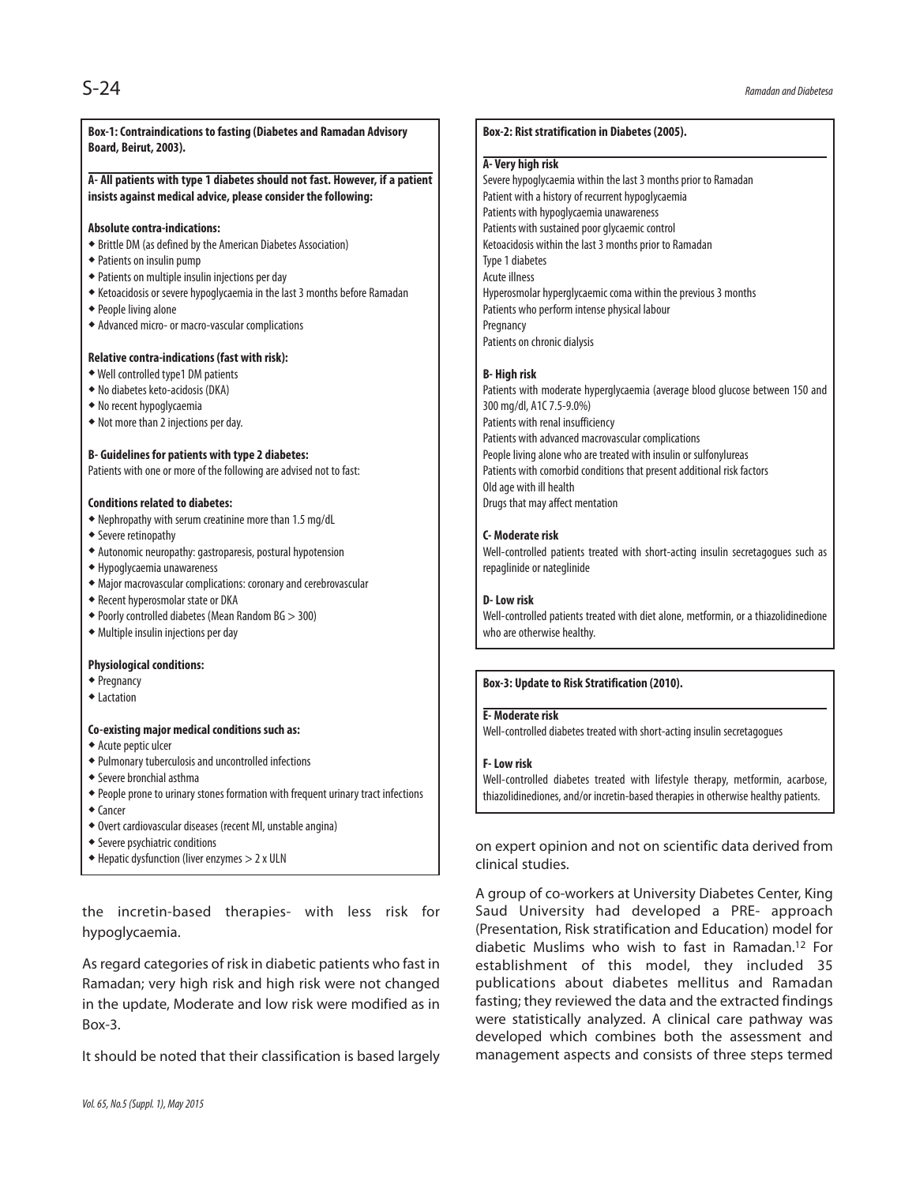#### **Box-1:Contraindications to fasting (Diabetes and Ramadan Advisory Board, Beirut, 2003).**

#### **A- All patients with type 1 diabetes should not fast. However, if a patient insists against medical advice, please consider the following:**

#### **Absolute contra-indications:**

- $\bullet$  Brittle DM (as defined by the American Diabetes Association)
- Patientson insulin pump
- \* Patients on multiple insulin injections per day
- Ketoacidosisor severe hypoglycaemiain thelast3 monthsbefore Ramadan
- People living alone
- Advanced micro-or macro-vascular complications

#### **Relative contra-indications (fast with risk):**

- Well controlled type1 DM patients
- Nodiabetesketo-acidosis (DKA)
- Norecent hypoglycaemia
- Not morethan 2injectionsperday.

#### **B- Guidelines for patients with type 2 diabetes:**

Patients with one or more of the following are advised not to fast:

#### **Conditions related to diabetes:**

- Nephropathy with serum creatinine morethan 1.5 mg/dL
- Severe retinopathy
- Autonomic neuropathy:gastroparesis,postural hypotension
- Hypoglycaemiaunawareness
- Major macrovascular complications: coronaryandcerebrovascular
- Recent hyperosmolar stateor DKA
- \* Poorly controlled diabetes (Mean Random BG > 300)
- Multiple insulin injections per day

#### **Physiological conditions:**

- Pregnancy
- **+Lactation**

#### **Co-existing major medical conditions such as:**

- Acute peptic ulcer
- Pulmonarytuberculosisanduncontrolledinfections
- Severe bronchial asthma
- People prone to urinary stones formation with frequent urinary tract infections
- ◆ Cancer
- Overt cardiovasculardiseases (recent MI,unstableangina)
- Severe psychiatric conditions
- Hepaticdysfunction (liverenzymes > 2x ULN

the incretin-based therapies- with less risk for hypoglycaemia.

As regard categories of risk in diabetic patients who fast in Ramadan; very high risk and high risk were not changed in the update, Moderate and low risk were modified as in Box-3.

It should be noted that their classification is based largely

#### **Box-2: Rist stratification in Diabetes (2005).**

#### **A- Very high risk**

Severe hypoglycaemia within the last 3 months prior to Ramadan Patient with a history of recurrent hypoglycaemia Patients with hypoglycaemia unawareness Patients with sustained poor glycaemic control Ketoacidosis within the last 3 months prior to Ramadan Type 1 diabetes **Acute illness** Hyperosmolar hyperglycaemic coma within the previous 3 months Patients who perform intense physical labour **Pregnancy** Patients on chronic dialysis

#### **B- High risk**

Patients with moderate hyperglycaemia (average blood glucose between 150 and 300 mg/dl, A1C7.5-9.0%) Patients with renal insufficiency Patients with advanced macrovascular complications People living alone who are treated with insulin or sulfonylureas Patients with comorbid conditions that present additional risk factors Old age with ill health Drugs that mayaffect mentation

#### **C- Moderate risk**

Well-controlled patients treated with short-acting insulin secretagogues such as repaglinide or nateglinide

#### **D-Low risk**

Well-controlled patients treated with diet alone, metformin, or a thiazolidinedione who are otherwise healthy.

#### **Box-3: Update to Risk Stratification (2010).**

#### **E- Moderate risk**

Well-controlled diabetes treated with short-acting insulin secretagogues

#### **F-Low risk**

Well-controlled diabetes treated with lifestyle therapy, metformin, acarbose, thiazolidinediones, and/or incretin-based therapies in otherwise healthy patients.

on expert opinion and not on scientific data derived from clinical studies.

A group of co-workers at University Diabetes Center, King Saud University had developed a PRE- approach (Presentation, Risk stratification and Education) model for diabetic Muslims who wish to fast in Ramadan. <sup>12</sup> For establishment of this model, they included 35 publications about diabetes mellitus and Ramadan fasting; they reviewed the data and the extracted findings were statistically analyzed. A clinical care pathway was developed which combines both the assessment and management aspects and consists of three steps termed